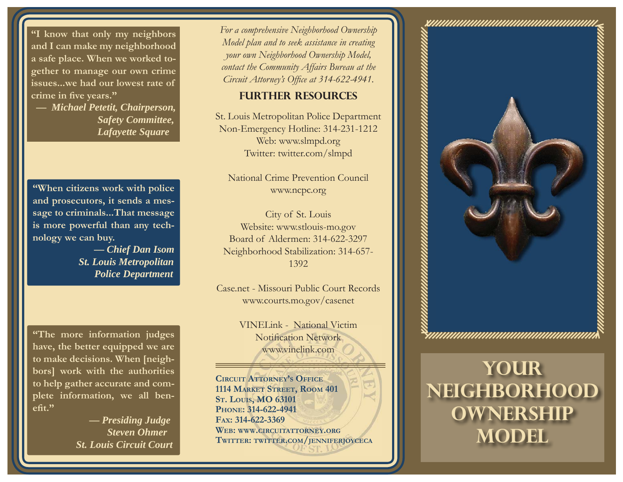**"I know that only my neighbors and I can make my neighborhood a safe place. When we worked together to manage our own crime issues...we had our lowest rate of crime in fi ve years."**

 **—** *Michael Petetit, Chairperson, Safety Committee, Lafayette Square*

**"When citizens work with police and prosecutors, it sends a message to criminals...That message is more powerful than any technology we can buy.**

> **—** *Chief Dan Isom St. Louis Metropolitan Police Department*

**"The more information judges have, the better equipped we are to make decisions. When [neighbors] work with the authorities to help gather accurate and complete information, we all benefit."** 

> **—** *Presiding Judge Steven Ohmer St. Louis Circuit Court*

*For a comprehensive Neighborhood Ownership Model plan and to seek assistance in creating your own Neighborhood Ownership Model, contact the Community Affairs Bureau at the Circuit Attorney's Office at 314-622-4941.* 

#### **Further resources**

St. Louis Metropolitan Police Department Non-Emergency Hotline: 314-231-1212 Web: www.slmpd.org Twitter: twitter.com/slmpd

National Crime Prevention Council www.ncpc.org

City of St. Louis Website: www.stlouis-mo.gov Board of Aldermen: 314-622-3297Neighborhood Stabilization: 314-657- 1392

Case.net - Missouri Public Court Recordswww.courts.mo.gov/casenet

> VINELink - National Victim Notification Network www.vinelink.com

**CIRCUIT ATTORNEY'S OFFICE1114 MARKET STREET, ROOM 401 S T. LOUIS, MO 63101 PHONE: 314-622-4941FAX: 314-622-3369WEB: WWW.CIRCUITATTORNEY.ORGTWITTER: TWITTER.COM/JENNIFERJOYCECA**



# **Your NEIGHBORHOOD OWNERSHIP Model**